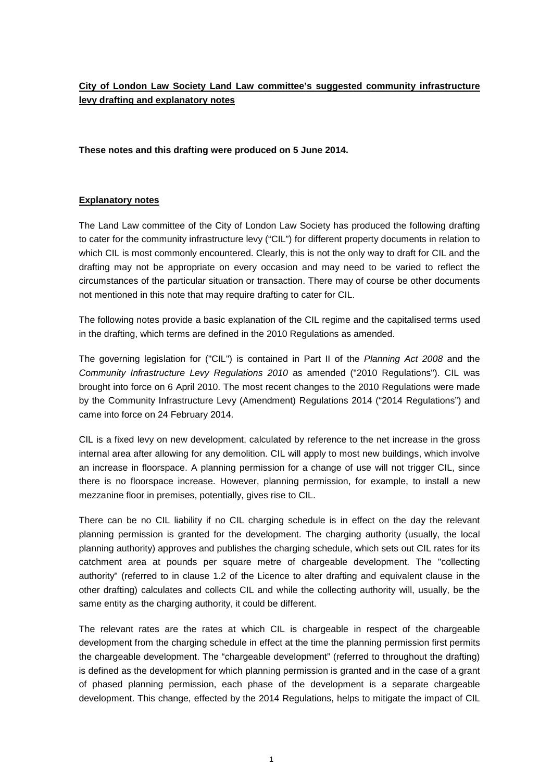# **City of London Law Society Land Law committee's suggested community infrastructure levy drafting and explanatory notes**

**These notes and this drafting were produced on 5 June 2014.** 

#### **Explanatory notes**

The Land Law committee of the City of London Law Society has produced the following drafting to cater for the community infrastructure levy ("CIL") for different property documents in relation to which CIL is most commonly encountered. Clearly, this is not the only way to draft for CIL and the drafting may not be appropriate on every occasion and may need to be varied to reflect the circumstances of the particular situation or transaction. There may of course be other documents not mentioned in this note that may require drafting to cater for CIL.

The following notes provide a basic explanation of the CIL regime and the capitalised terms used in the drafting, which terms are defined in the 2010 Regulations as amended.

The governing legislation for ("CIL") is contained in Part II of the *Planning Act 2008* and the *Community Infrastructure Levy Regulations 2010* as amended ("2010 Regulations"). CIL was brought into force on 6 April 2010. The most recent changes to the 2010 Regulations were made by the Community Infrastructure Levy (Amendment) Regulations 2014 ("2014 Regulations") and came into force on 24 February 2014.

CIL is a fixed levy on new development, calculated by reference to the net increase in the gross internal area after allowing for any demolition. CIL will apply to most new buildings, which involve an increase in floorspace. A planning permission for a change of use will not trigger CIL, since there is no floorspace increase. However, planning permission, for example, to install a new mezzanine floor in premises, potentially, gives rise to CIL.

There can be no CIL liability if no CIL charging schedule is in effect on the day the relevant planning permission is granted for the development. The charging authority (usually, the local planning authority) approves and publishes the charging schedule, which sets out CIL rates for its catchment area at pounds per square metre of chargeable development. The "collecting authority" (referred to in clause 1.2 of the Licence to alter drafting and equivalent clause in the other drafting) calculates and collects CIL and while the collecting authority will, usually, be the same entity as the charging authority, it could be different.

The relevant rates are the rates at which CIL is chargeable in respect of the chargeable development from the charging schedule in effect at the time the planning permission first permits the chargeable development. The "chargeable development" (referred to throughout the drafting) is defined as the development for which planning permission is granted and in the case of a grant of phased planning permission, each phase of the development is a separate chargeable development. This change, effected by the 2014 Regulations, helps to mitigate the impact of CIL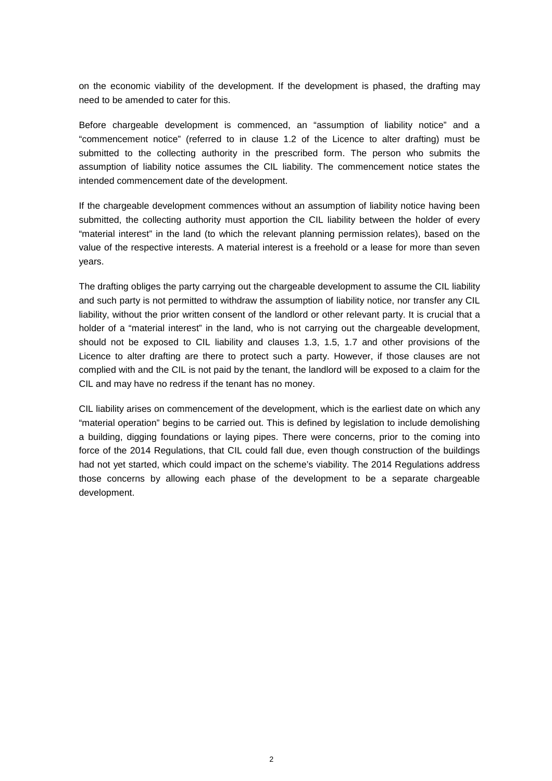on the economic viability of the development. If the development is phased, the drafting may need to be amended to cater for this.

Before chargeable development is commenced, an "assumption of liability notice" and a "commencement notice" (referred to in clause 1.2 of the Licence to alter drafting) must be submitted to the collecting authority in the prescribed form. The person who submits the assumption of liability notice assumes the CIL liability. The commencement notice states the intended commencement date of the development.

If the chargeable development commences without an assumption of liability notice having been submitted, the collecting authority must apportion the CIL liability between the holder of every "material interest" in the land (to which the relevant planning permission relates), based on the value of the respective interests. A material interest is a freehold or a lease for more than seven years.

The drafting obliges the party carrying out the chargeable development to assume the CIL liability and such party is not permitted to withdraw the assumption of liability notice, nor transfer any CIL liability, without the prior written consent of the landlord or other relevant party. It is crucial that a holder of a "material interest" in the land, who is not carrying out the chargeable development, should not be exposed to CIL liability and clauses 1.3, 1.5, 1.7 and other provisions of the Licence to alter drafting are there to protect such a party. However, if those clauses are not complied with and the CIL is not paid by the tenant, the landlord will be exposed to a claim for the CIL and may have no redress if the tenant has no money.

CIL liability arises on commencement of the development, which is the earliest date on which any "material operation" begins to be carried out. This is defined by legislation to include demolishing a building, digging foundations or laying pipes. There were concerns, prior to the coming into force of the 2014 Regulations, that CIL could fall due, even though construction of the buildings had not yet started, which could impact on the scheme's viability. The 2014 Regulations address those concerns by allowing each phase of the development to be a separate chargeable development.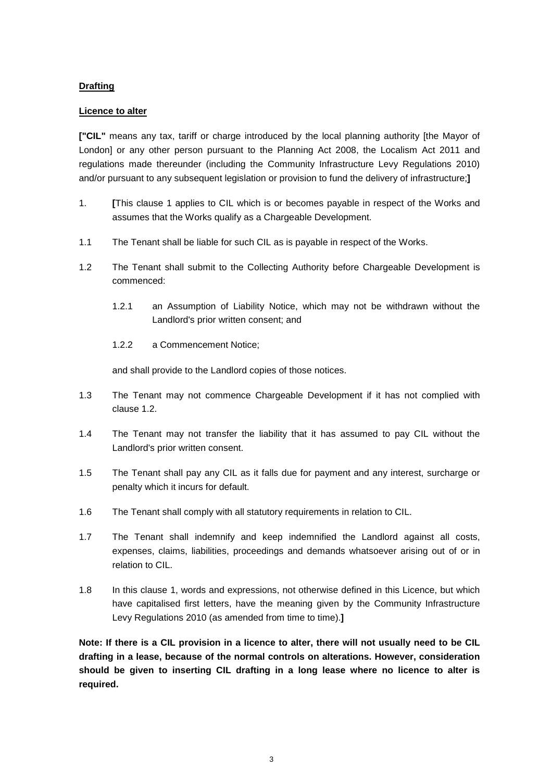## **Drafting**

### **Licence to alter**

**["CIL"** means any tax, tariff or charge introduced by the local planning authority [the Mayor of London] or any other person pursuant to the Planning Act 2008, the Localism Act 2011 and regulations made thereunder (including the Community Infrastructure Levy Regulations 2010) and/or pursuant to any subsequent legislation or provision to fund the delivery of infrastructure;**]** 

- 1. **[**This clause 1 applies to CIL which is or becomes payable in respect of the Works and assumes that the Works qualify as a Chargeable Development.
- 1.1 The Tenant shall be liable for such CIL as is payable in respect of the Works.
- 1.2 The Tenant shall submit to the Collecting Authority before Chargeable Development is commenced:
	- 1.2.1 an Assumption of Liability Notice, which may not be withdrawn without the Landlord's prior written consent; and
	- 1.2.2 a Commencement Notice;

and shall provide to the Landlord copies of those notices.

- 1.3 The Tenant may not commence Chargeable Development if it has not complied with clause 1.2.
- 1.4 The Tenant may not transfer the liability that it has assumed to pay CIL without the Landlord's prior written consent.
- 1.5 The Tenant shall pay any CIL as it falls due for payment and any interest, surcharge or penalty which it incurs for default.
- 1.6 The Tenant shall comply with all statutory requirements in relation to CIL.
- 1.7 The Tenant shall indemnify and keep indemnified the Landlord against all costs, expenses, claims, liabilities, proceedings and demands whatsoever arising out of or in relation to CIL.
- 1.8 In this clause 1, words and expressions, not otherwise defined in this Licence, but which have capitalised first letters, have the meaning given by the Community Infrastructure Levy Regulations 2010 (as amended from time to time).**]**

**Note: If there is a CIL provision in a licence to alter, there will not usually need to be CIL drafting in a lease, because of the normal controls on alterations. However, consideration should be given to inserting CIL drafting in a long lease where no licence to alter is required.**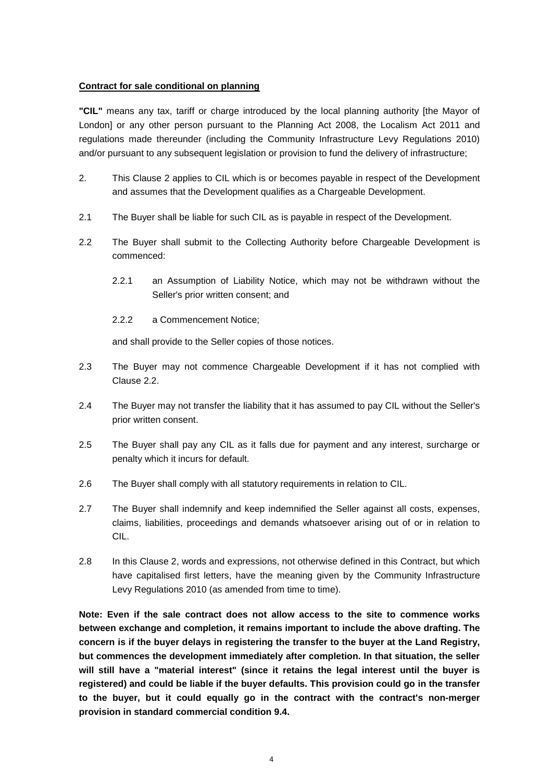#### **Contract for sale conditional on planning**

**"CIL"** means any tax, tariff or charge introduced by the local planning authority [the Mayor of London] or any other person pursuant to the Planning Act 2008, the Localism Act 2011 and regulations made thereunder (including the Community Infrastructure Levy Regulations 2010) and/or pursuant to any subsequent legislation or provision to fund the delivery of infrastructure;

- 2. This Clause 2 applies to CIL which is or becomes payable in respect of the Development and assumes that the Development qualifies as a Chargeable Development.
- 2.1 The Buyer shall be liable for such CIL as is payable in respect of the Development.
- 2.2 The Buyer shall submit to the Collecting Authority before Chargeable Development is commenced:
	- 2.2.1 an Assumption of Liability Notice, which may not be withdrawn without the Seller's prior written consent; and
	- 2.2.2 a Commencement Notice;

and shall provide to the Seller copies of those notices.

- 2.3 The Buyer may not commence Chargeable Development if it has not complied with Clause 2.2.
- 2.4 The Buyer may not transfer the liability that it has assumed to pay CIL without the Seller's prior written consent.
- 2.5 The Buyer shall pay any CIL as it falls due for payment and any interest, surcharge or penalty which it incurs for default.
- 2.6 The Buyer shall comply with all statutory requirements in relation to CIL.
- 2.7 The Buyer shall indemnify and keep indemnified the Seller against all costs, expenses, claims, liabilities, proceedings and demands whatsoever arising out of or in relation to CIL.
- 2.8 In this Clause 2, words and expressions, not otherwise defined in this Contract, but which have capitalised first letters, have the meaning given by the Community Infrastructure Levy Regulations 2010 (as amended from time to time).

**Note: Even if the sale contract does not allow access to the site to commence works between exchange and completion, it remains important to include the above drafting. The concern is if the buyer delays in registering the transfer to the buyer at the Land Registry, but commences the development immediately after completion. In that situation, the seller will still have a "material interest" (since it retains the legal interest until the buyer is registered) and could be liable if the buyer defaults. This provision could go in the transfer to the buyer, but it could equally go in the contract with the contract's non-merger provision in standard commercial condition 9.4.**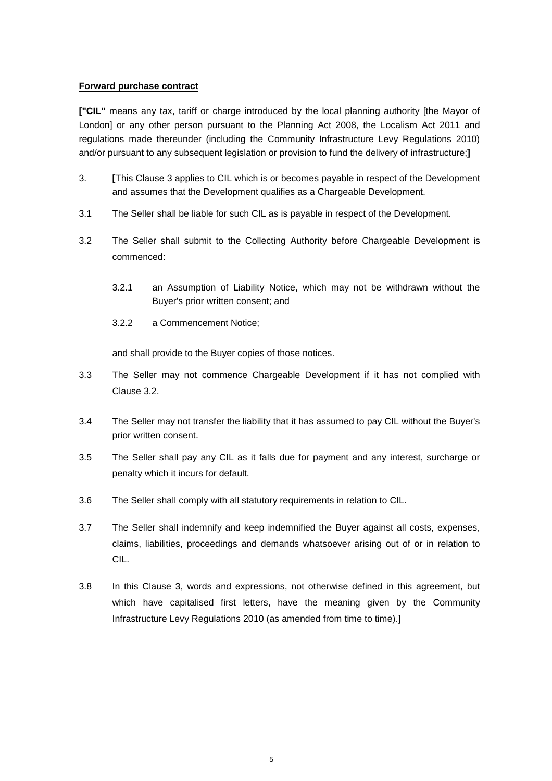#### **Forward purchase contract**

**["CIL"** means any tax, tariff or charge introduced by the local planning authority [the Mayor of London] or any other person pursuant to the Planning Act 2008, the Localism Act 2011 and regulations made thereunder (including the Community Infrastructure Levy Regulations 2010) and/or pursuant to any subsequent legislation or provision to fund the delivery of infrastructure;**]**

- 3. **[**This Clause 3 applies to CIL which is or becomes payable in respect of the Development and assumes that the Development qualifies as a Chargeable Development.
- 3.1 The Seller shall be liable for such CIL as is payable in respect of the Development.
- 3.2 The Seller shall submit to the Collecting Authority before Chargeable Development is commenced:
	- 3.2.1 an Assumption of Liability Notice, which may not be withdrawn without the Buyer's prior written consent; and
	- 3.2.2 a Commencement Notice;

and shall provide to the Buyer copies of those notices.

- 3.3 The Seller may not commence Chargeable Development if it has not complied with Clause 3.2.
- 3.4 The Seller may not transfer the liability that it has assumed to pay CIL without the Buyer's prior written consent.
- 3.5 The Seller shall pay any CIL as it falls due for payment and any interest, surcharge or penalty which it incurs for default.
- 3.6 The Seller shall comply with all statutory requirements in relation to CIL.
- 3.7 The Seller shall indemnify and keep indemnified the Buyer against all costs, expenses, claims, liabilities, proceedings and demands whatsoever arising out of or in relation to CIL.
- 3.8 In this Clause 3, words and expressions, not otherwise defined in this agreement, but which have capitalised first letters, have the meaning given by the Community Infrastructure Levy Regulations 2010 (as amended from time to time).]